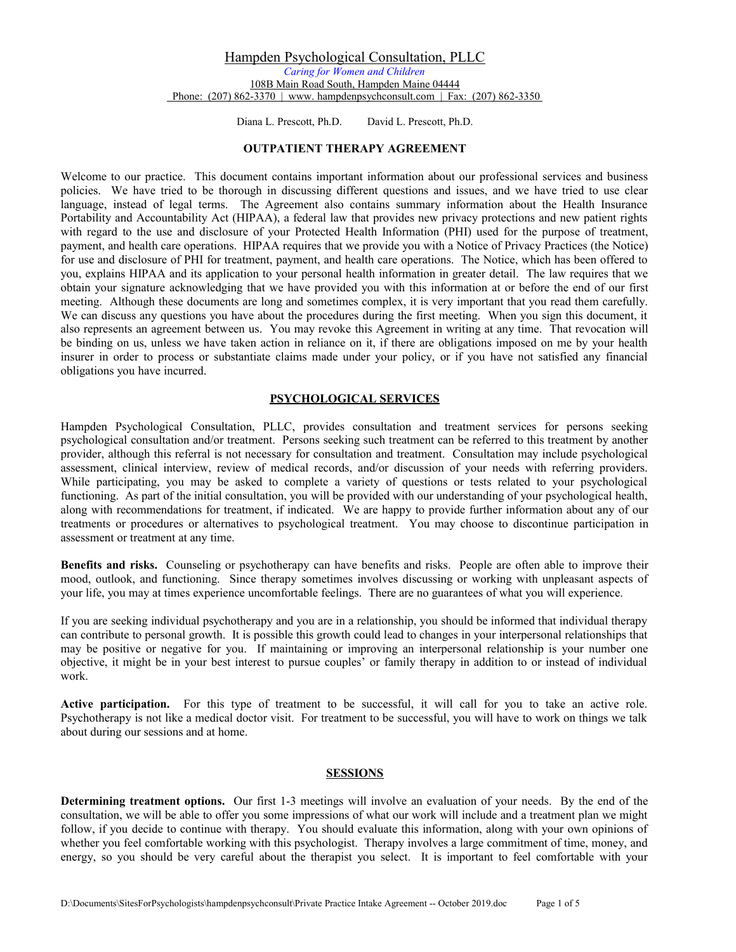Diana L. Prescott, Ph.D. David L. Prescott, Ph.D.

# **OUTPATIENT THERAPY AGREEMENT**

Welcome to our practice. This document contains important information about our professional services and business policies. We have tried to be thorough in discussing different questions and issues, and we have tried to use clear language, instead of legal terms. The Agreement also contains summary information about the Health Insurance Portability and Accountability Act (HIPAA), a federal law that provides new privacy protections and new patient rights with regard to the use and disclosure of your Protected Health Information (PHI) used for the purpose of treatment, payment, and health care operations. HIPAA requires that we provide you with a Notice of Privacy Practices (the Notice) for use and disclosure of PHI for treatment, payment, and health care operations. The Notice, which has been offered to you, explains HIPAA and its application to your personal health information in greater detail. The law requires that we obtain your signature acknowledging that we have provided you with this information at or before the end of our first meeting. Although these documents are long and sometimes complex, it is very important that you read them carefully. We can discuss any questions you have about the procedures during the first meeting. When you sign this document, it also represents an agreement between us. You may revoke this Agreement in writing at any time. That revocation will be binding on us, unless we have taken action in reliance on it, if there are obligations imposed on me by your health insurer in order to process or substantiate claims made under your policy, or if you have not satisfied any financial obligations you have incurred.

#### **PSYCHOLOGICAL SERVICES**

Hampden Psychological Consultation, PLLC, provides consultation and treatment services for persons seeking psychological consultation and/or treatment. Persons seeking such treatment can be referred to this treatment by another provider, although this referral is not necessary for consultation and treatment. Consultation may include psychological assessment, clinical interview, review of medical records, and/or discussion of your needs with referring providers. While participating, you may be asked to complete a variety of questions or tests related to your psychological functioning. As part of the initial consultation, you will be provided with our understanding of your psychological health, along with recommendations for treatment, if indicated. We are happy to provide further information about any of our treatments or procedures or alternatives to psychological treatment. You may choose to discontinue participation in assessment or treatment at any time.

**Benefits and risks.** Counseling or psychotherapy can have benefits and risks. People are often able to improve their mood, outlook, and functioning. Since therapy sometimes involves discussing or working with unpleasant aspects of your life, you may at times experience uncomfortable feelings. There are no guarantees of what you will experience.

If you are seeking individual psychotherapy and you are in a relationship, you should be informed that individual therapy can contribute to personal growth. It is possible this growth could lead to changes in your interpersonal relationships that may be positive or negative for you. If maintaining or improving an interpersonal relationship is your number one objective, it might be in your best interest to pursue couples' or family therapy in addition to or instead of individual work.

**Active participation.** For this type of treatment to be successful, it will call for you to take an active role. Psychotherapy is not like a medical doctor visit. For treatment to be successful, you will have to work on things we talk about during our sessions and at home.

## **SESSIONS**

**Determining treatment options.** Our first 1-3 meetings will involve an evaluation of your needs. By the end of the consultation, we will be able to offer you some impressions of what our work will include and a treatment plan we might follow, if you decide to continue with therapy. You should evaluate this information, along with your own opinions of whether you feel comfortable working with this psychologist. Therapy involves a large commitment of time, money, and energy, so you should be very careful about the therapist you select. It is important to feel comfortable with your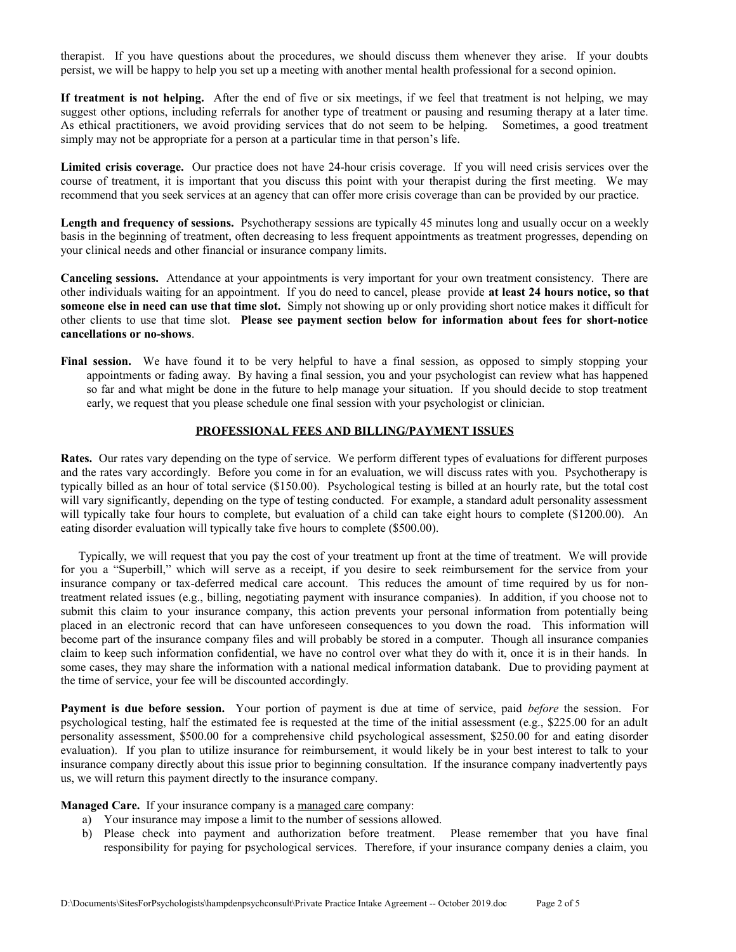therapist. If you have questions about the procedures, we should discuss them whenever they arise. If your doubts persist, we will be happy to help you set up a meeting with another mental health professional for a second opinion.

**If treatment is not helping.** After the end of five or six meetings, if we feel that treatment is not helping, we may suggest other options, including referrals for another type of treatment or pausing and resuming therapy at a later time. As ethical practitioners, we avoid providing services that do not seem to be helping. Sometimes, a good treatment simply may not be appropriate for a person at a particular time in that person's life.

**Limited crisis coverage.** Our practice does not have 24-hour crisis coverage. If you will need crisis services over the course of treatment, it is important that you discuss this point with your therapist during the first meeting. We may recommend that you seek services at an agency that can offer more crisis coverage than can be provided by our practice.

**Length and frequency of sessions.** Psychotherapy sessions are typically 45 minutes long and usually occur on a weekly basis in the beginning of treatment, often decreasing to less frequent appointments as treatment progresses, depending on your clinical needs and other financial or insurance company limits.

**Canceling sessions.** Attendance at your appointments is very important for your own treatment consistency. There are other individuals waiting for an appointment. If you do need to cancel, please provide **at least 24 hours notice, so that someone else in need can use that time slot.** Simply not showing up or only providing short notice makes it difficult for other clients to use that time slot. **Please see payment section below for information about fees for short-notice cancellations or no-shows**.

**Final session.** We have found it to be very helpful to have a final session, as opposed to simply stopping your appointments or fading away. By having a final session, you and your psychologist can review what has happened so far and what might be done in the future to help manage your situation. If you should decide to stop treatment early, we request that you please schedule one final session with your psychologist or clinician.

#### **PROFESSIONAL FEES AND BILLING/PAYMENT ISSUES**

**Rates.** Our rates vary depending on the type of service. We perform different types of evaluations for different purposes and the rates vary accordingly. Before you come in for an evaluation, we will discuss rates with you. Psychotherapy is typically billed as an hour of total service (\$150.00). Psychological testing is billed at an hourly rate, but the total cost will vary significantly, depending on the type of testing conducted. For example, a standard adult personality assessment will typically take four hours to complete, but evaluation of a child can take eight hours to complete (\$1200.00). An eating disorder evaluation will typically take five hours to complete (\$500.00).

 Typically, we will request that you pay the cost of your treatment up front at the time of treatment. We will provide for you a "Superbill," which will serve as a receipt, if you desire to seek reimbursement for the service from your insurance company or tax-deferred medical care account. This reduces the amount of time required by us for nontreatment related issues (e.g., billing, negotiating payment with insurance companies). In addition, if you choose not to submit this claim to your insurance company, this action prevents your personal information from potentially being placed in an electronic record that can have unforeseen consequences to you down the road. This information will become part of the insurance company files and will probably be stored in a computer. Though all insurance companies claim to keep such information confidential, we have no control over what they do with it, once it is in their hands. In some cases, they may share the information with a national medical information databank. Due to providing payment at the time of service, your fee will be discounted accordingly.

**Payment is due before session.** Your portion of payment is due at time of service, paid *before* the session. For psychological testing, half the estimated fee is requested at the time of the initial assessment (e.g., \$225.00 for an adult personality assessment, \$500.00 for a comprehensive child psychological assessment, \$250.00 for and eating disorder evaluation). If you plan to utilize insurance for reimbursement, it would likely be in your best interest to talk to your insurance company directly about this issue prior to beginning consultation. If the insurance company inadvertently pays us, we will return this payment directly to the insurance company.

**Managed Care.** If your insurance company is a managed care company:

- a) Your insurance may impose a limit to the number of sessions allowed.
- b) Please check into payment and authorization before treatment. Please remember that you have final responsibility for paying for psychological services. Therefore, if your insurance company denies a claim, you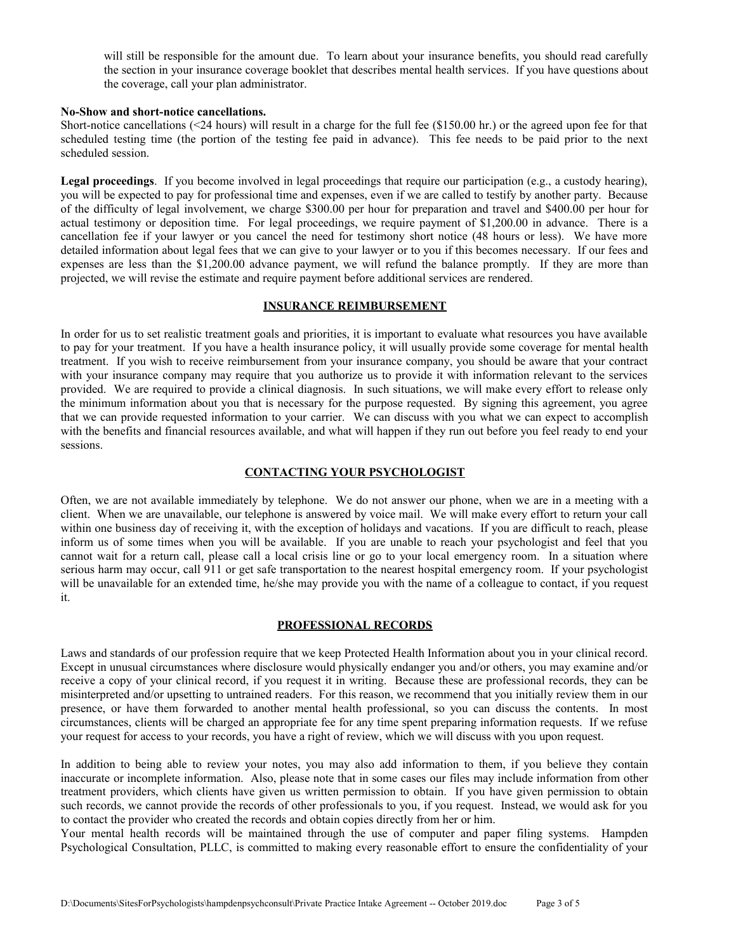will still be responsible for the amount due. To learn about your insurance benefits, you should read carefully the section in your insurance coverage booklet that describes mental health services. If you have questions about the coverage, call your plan administrator.

#### **No-Show and short-notice cancellations.**

Short-notice cancellations (<24 hours) will result in a charge for the full fee (\$150.00 hr.) or the agreed upon fee for that scheduled testing time (the portion of the testing fee paid in advance). This fee needs to be paid prior to the next scheduled session.

**Legal proceedings**. If you become involved in legal proceedings that require our participation (e.g., a custody hearing), you will be expected to pay for professional time and expenses, even if we are called to testify by another party. Because of the difficulty of legal involvement, we charge \$300.00 per hour for preparation and travel and \$400.00 per hour for actual testimony or deposition time. For legal proceedings, we require payment of \$1,200.00 in advance. There is a cancellation fee if your lawyer or you cancel the need for testimony short notice (48 hours or less). We have more detailed information about legal fees that we can give to your lawyer or to you if this becomes necessary. If our fees and expenses are less than the \$1,200.00 advance payment, we will refund the balance promptly. If they are more than projected, we will revise the estimate and require payment before additional services are rendered.

## **INSURANCE REIMBURSEMENT**

In order for us to set realistic treatment goals and priorities, it is important to evaluate what resources you have available to pay for your treatment. If you have a health insurance policy, it will usually provide some coverage for mental health treatment. If you wish to receive reimbursement from your insurance company, you should be aware that your contract with your insurance company may require that you authorize us to provide it with information relevant to the services provided. We are required to provide a clinical diagnosis. In such situations, we will make every effort to release only the minimum information about you that is necessary for the purpose requested. By signing this agreement, you agree that we can provide requested information to your carrier.We can discuss with you what we can expect to accomplish with the benefits and financial resources available, and what will happen if they run out before you feel ready to end your sessions.

### **CONTACTING YOUR PSYCHOLOGIST**

Often, we are not available immediately by telephone. We do not answer our phone, when we are in a meeting with a client. When we are unavailable, our telephone is answered by voice mail. We will make every effort to return your call within one business day of receiving it, with the exception of holidays and vacations. If you are difficult to reach, please inform us of some times when you will be available. If you are unable to reach your psychologist and feel that you cannot wait for a return call, please call a local crisis line or go to your local emergency room. In a situation where serious harm may occur, call 911 or get safe transportation to the nearest hospital emergency room. If your psychologist will be unavailable for an extended time, he/she may provide you with the name of a colleague to contact, if you request it.

#### **PROFESSIONAL RECORDS**

Laws and standards of our profession require that we keep Protected Health Information about you in your clinical record. Except in unusual circumstances where disclosure would physically endanger you and/or others, you may examine and/or receive a copy of your clinical record, if you request it in writing. Because these are professional records, they can be misinterpreted and/or upsetting to untrained readers. For this reason, we recommend that you initially review them in our presence, or have them forwarded to another mental health professional, so you can discuss the contents. In most circumstances, clients will be charged an appropriate fee for any time spent preparing information requests. If we refuse your request for access to your records, you have a right of review, which we will discuss with you upon request.

In addition to being able to review your notes, you may also add information to them, if you believe they contain inaccurate or incomplete information. Also, please note that in some cases our files may include information from other treatment providers, which clients have given us written permission to obtain. If you have given permission to obtain such records, we cannot provide the records of other professionals to you, if you request. Instead, we would ask for you to contact the provider who created the records and obtain copies directly from her or him.

Your mental health records will be maintained through the use of computer and paper filing systems. Hampden Psychological Consultation, PLLC, is committed to making every reasonable effort to ensure the confidentiality of your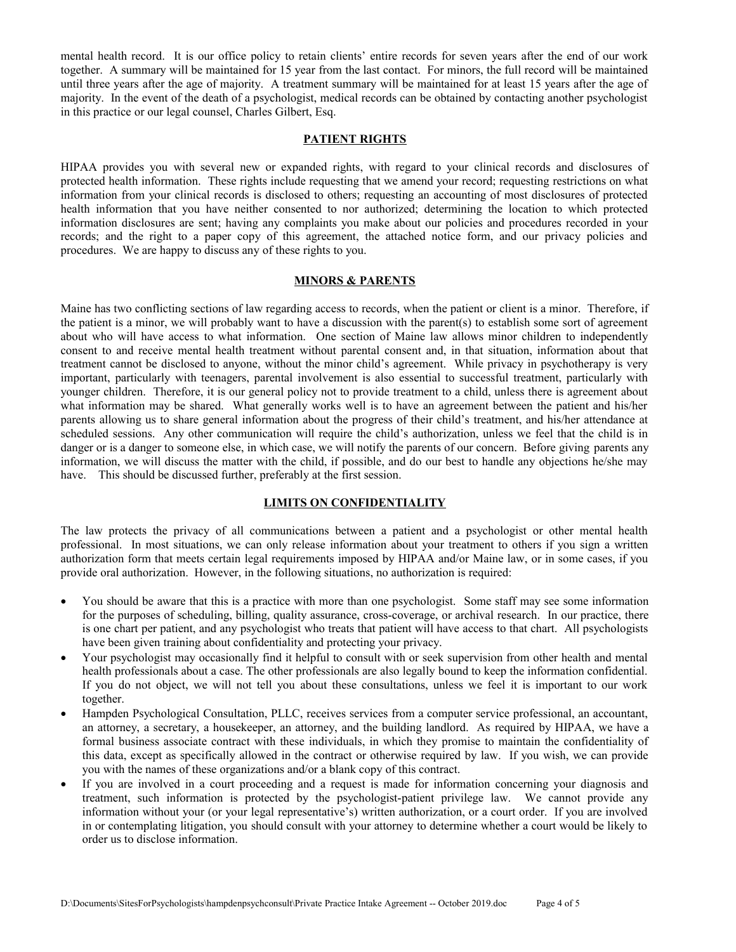mental health record. It is our office policy to retain clients' entire records for seven years after the end of our work together. A summary will be maintained for 15 year from the last contact. For minors, the full record will be maintained until three years after the age of majority. A treatment summary will be maintained for at least 15 years after the age of majority. In the event of the death of a psychologist, medical records can be obtained by contacting another psychologist in this practice or our legal counsel, Charles Gilbert, Esq.

#### **PATIENT RIGHTS**

HIPAA provides you with several new or expanded rights, with regard to your clinical records and disclosures of protected health information. These rights include requesting that we amend your record; requesting restrictions on what information from your clinical records is disclosed to others; requesting an accounting of most disclosures of protected health information that you have neither consented to nor authorized; determining the location to which protected information disclosures are sent; having any complaints you make about our policies and procedures recorded in your records; and the right to a paper copy of this agreement, the attached notice form, and our privacy policies and procedures. We are happy to discuss any of these rights to you.

#### **MINORS & PARENTS**

Maine has two conflicting sections of law regarding access to records, when the patient or client is a minor. Therefore, if the patient is a minor, we will probably want to have a discussion with the parent(s) to establish some sort of agreement about who will have access to what information. One section of Maine law allows minor children to independently consent to and receive mental health treatment without parental consent and, in that situation, information about that treatment cannot be disclosed to anyone, without the minor child's agreement. While privacy in psychotherapy is very important, particularly with teenagers, parental involvement is also essential to successful treatment, particularly with younger children. Therefore, it is our general policy not to provide treatment to a child, unless there is agreement about what information may be shared. What generally works well is to have an agreement between the patient and his/her parents allowing us to share general information about the progress of their child's treatment, and his/her attendance at scheduled sessions. Any other communication will require the child's authorization, unless we feel that the child is in danger or is a danger to someone else, in which case, we will notify the parents of our concern. Before giving parents any information, we will discuss the matter with the child, if possible, and do our best to handle any objections he/she may have. This should be discussed further, preferably at the first session.

## **LIMITS ON CONFIDENTIALITY**

The law protects the privacy of all communications between a patient and a psychologist or other mental health professional. In most situations, we can only release information about your treatment to others if you sign a written authorization form that meets certain legal requirements imposed by HIPAA and/or Maine law, or in some cases, if you provide oral authorization. However, in the following situations, no authorization is required:

- You should be aware that this is a practice with more than one psychologist. Some staff may see some information for the purposes of scheduling, billing, quality assurance, cross-coverage, or archival research. In our practice, there is one chart per patient, and any psychologist who treats that patient will have access to that chart. All psychologists have been given training about confidentiality and protecting your privacy.
- Your psychologist may occasionally find it helpful to consult with or seek supervision from other health and mental health professionals about a case. The other professionals are also legally bound to keep the information confidential. If you do not object, we will not tell you about these consultations, unless we feel it is important to our work together.
- Hampden Psychological Consultation, PLLC, receives services from a computer service professional, an accountant, an attorney, a secretary, a housekeeper, an attorney, and the building landlord. As required by HIPAA, we have a formal business associate contract with these individuals, in which they promise to maintain the confidentiality of this data, except as specifically allowed in the contract or otherwise required by law. If you wish, we can provide you with the names of these organizations and/or a blank copy of this contract.
- If you are involved in a court proceeding and a request is made for information concerning your diagnosis and treatment, such information is protected by the psychologist-patient privilege law. We cannot provide any information without your (or your legal representative's) written authorization, or a court order. If you are involved in or contemplating litigation, you should consult with your attorney to determine whether a court would be likely to order us to disclose information.